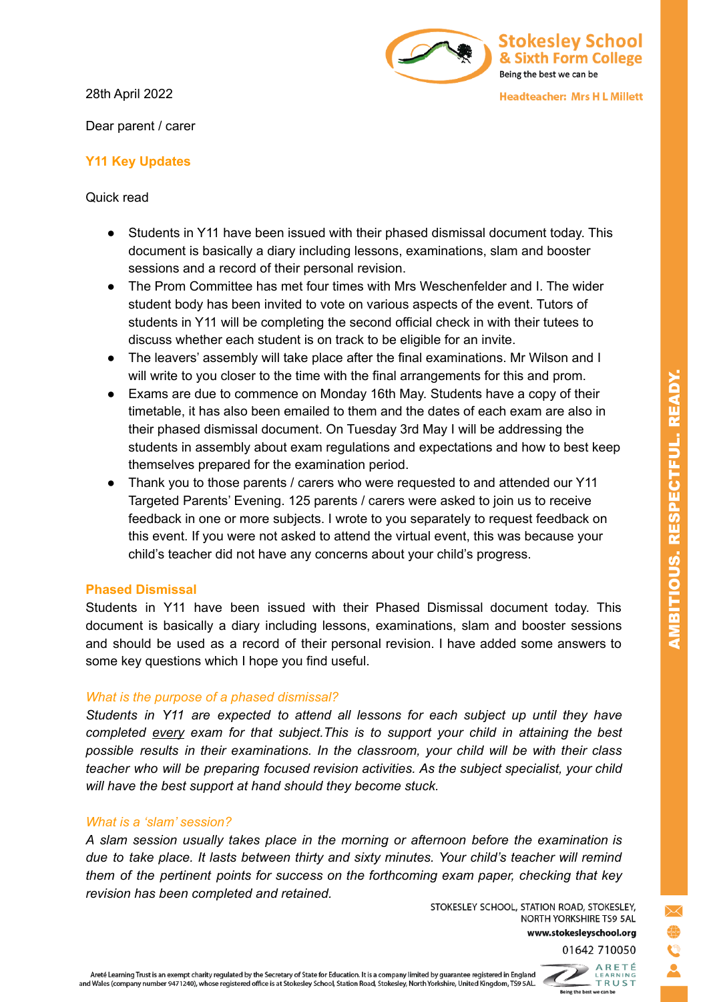28th April 2022

Dear parent / carer

# Stokesley School & Sixth Form College Being the best we can be

**Headteacher: Mrs H L Millett** 

## **Y11 Key Updates**

Quick read

- Students in Y11 have been issued with their phased dismissal document today. This document is basically a diary including lessons, examinations, slam and booster sessions and a record of their personal revision.
- The Prom Committee has met four times with Mrs Weschenfelder and I. The wider student body has been invited to vote on various aspects of the event. Tutors of students in Y11 will be completing the second official check in with their tutees to discuss whether each student is on track to be eligible for an invite.
- The leavers' assembly will take place after the final examinations. Mr Wilson and I will write to you closer to the time with the final arrangements for this and prom.
- Exams are due to commence on Monday 16th May. Students have a copy of their timetable, it has also been emailed to them and the dates of each exam are also in their phased dismissal document. On Tuesday 3rd May I will be addressing the students in assembly about exam regulations and expectations and how to best keep themselves prepared for the examination period.
- Thank you to those parents / carers who were requested to and attended our Y11 Targeted Parents' Evening. 125 parents / carers were asked to join us to receive feedback in one or more subjects. I wrote to you separately to request feedback on this event. If you were not asked to attend the virtual event, this was because your child's teacher did not have any concerns about your child's progress.

### **Phased Dismissal**

Students in Y11 have been issued with their Phased Dismissal document today. This document is basically a diary including lessons, examinations, slam and booster sessions and should be used as a record of their personal revision. I have added some answers to some key questions which I hope you find useful.

## *What is the purpose of a phased dismissal?*

*Students in Y11 are expected to attend all lessons for each subject up until they have completed every exam for that subject.This is to support your child in attaining the best possible results in their examinations. In the classroom, your child will be with their class teacher who will be preparing focused revision activities. As the subject specialist, your child will have the best support at hand should they become stuck.*

### *What is a 'slam' session?*

*A slam session usually takes place in the morning or afternoon before the examination is due to take place. It lasts between thirty and sixty minutes. Your child's teacher will remind them of the pertinent points for success on the forthcoming exam paper, checking that key revision has been completed and retained.*

STOKESLEY SCHOOL, STATION ROAD, STOKESLEY, NORTH YORKSHIRE TS9 5AL www.stokesleyschool.org 01642 710050



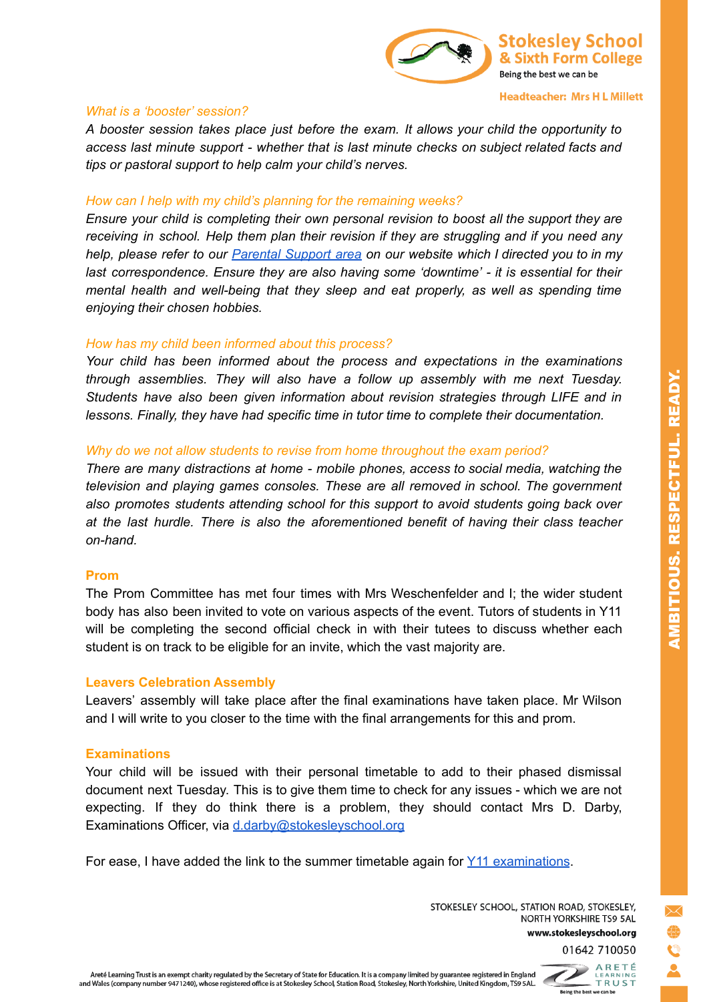

#### **Headteacher: Mrs H L Millett**

#### *What is a 'booster' session?*

*A booster session takes place just before the exam. It allows your child the opportunity to access last minute support - whether that is last minute checks on subject related facts and tips or pastoral support to help calm your child's nerves.*

#### *How can I help with my child's planning for the remaining weeks?*

*Ensure your child is completing their own personal revision to boost all the support they are receiving in school. Help them plan their revision if they are struggling and if you need any help, please refer to our [Parental](https://www.stokesleyschool.org/key-information/exam-information/) Support area on our website which I directed you to in my last correspondence. Ensure they are also having some 'downtime' - it is essential for their mental health and well-being that they sleep and eat properly, as well as spending time enjoying their chosen hobbies.*

#### *How has my child been informed about this process?*

*Your child has been informed about the process and expectations in the examinations through assemblies. They will also have a follow up assembly with me next Tuesday. Students have also been given information about revision strategies through LIFE and in lessons. Finally, they have had specific time in tutor time to complete their documentation.*

#### *Why do we not allow students to revise from home throughout the exam period?*

*There are many distractions at home - mobile phones, access to social media, watching the television and playing games consoles. These are all removed in school. The government also promotes students attending school for this support to avoid students going back over at the last hurdle. There is also the aforementioned benefit of having their class teacher on-hand.*

#### **Prom**

The Prom Committee has met four times with Mrs Weschenfelder and I; the wider student body has also been invited to vote on various aspects of the event. Tutors of students in Y11 will be completing the second official check in with their tutees to discuss whether each student is on track to be eligible for an invite, which the vast majority are.

#### **Leavers Celebration Assembly**

Leavers' assembly will take place after the final examinations have taken place. Mr Wilson and I will write to you closer to the time with the final arrangements for this and prom.

#### **Examinations**

Your child will be issued with their personal timetable to add to their phased dismissal document next Tuesday. This is to give them time to check for any issues - which we are not expecting. If they do think there is a problem, they should contact Mrs D. Darby, Examinations Officer, via [d.darby@stokesleyschool.org](mailto:d.darby@stokesleyschool.org)

For ease, I have added the link to the summer timetable again for Y11 [examinations](https://drive.google.com/file/d/16KNNAVqdVwkpu1GZ_-eBnLPJgjg6N938/view?usp=sharing).

STOKESLEY SCHOOL, STATION ROAD, STOKESLEY, NORTH YORKSHIRE TS9 5AL www.stokesleyschool.org AMBITIOUS. RESPECTFUL. READY.

Areté Learning Trust is an exempt charity regulated by the Secretary of State for Education. It is a company limited by guarantee registered in England and Wales (company number 9471240), whose registered office is at Stokesley School, Station Road, Stokesley, North Yorkshire, United Kingdom, TS9 5AL.